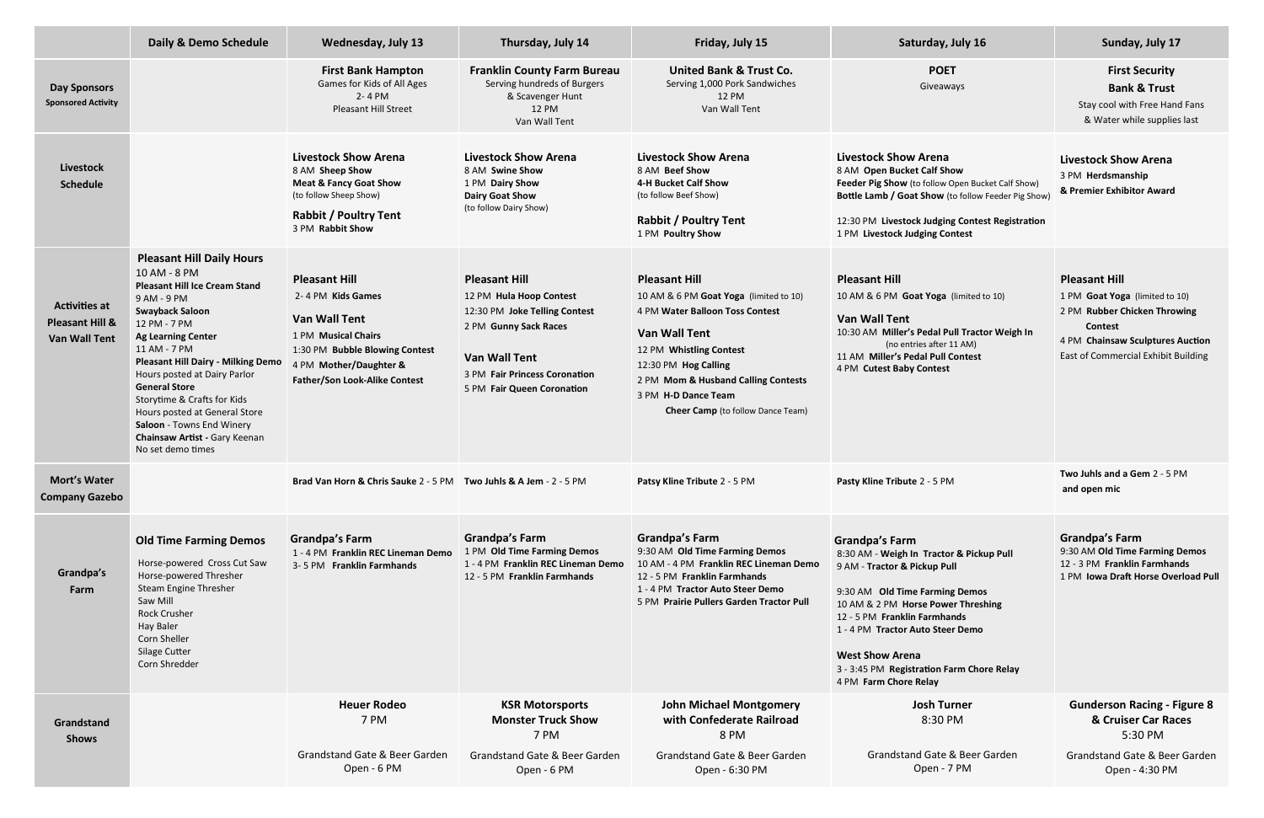|                                                                            | Daily & Demo Schedule                                                                                                                                                                                                                                                                                                                                                                                                                                  | <b>Wednesday, July 13</b>                                                                                                                                                                    | Thursday, July 14                                                                                                                                                                                | Friday, July 15                                                                                                                                                                                                                                                                        | Saturday, July 16                                                                                                                                                                                                                                                                                                                             | Sunday, July 17                                                                                                                                                                     |
|----------------------------------------------------------------------------|--------------------------------------------------------------------------------------------------------------------------------------------------------------------------------------------------------------------------------------------------------------------------------------------------------------------------------------------------------------------------------------------------------------------------------------------------------|----------------------------------------------------------------------------------------------------------------------------------------------------------------------------------------------|--------------------------------------------------------------------------------------------------------------------------------------------------------------------------------------------------|----------------------------------------------------------------------------------------------------------------------------------------------------------------------------------------------------------------------------------------------------------------------------------------|-----------------------------------------------------------------------------------------------------------------------------------------------------------------------------------------------------------------------------------------------------------------------------------------------------------------------------------------------|-------------------------------------------------------------------------------------------------------------------------------------------------------------------------------------|
| <b>Day Sponsors</b><br><b>Sponsored Activity</b>                           |                                                                                                                                                                                                                                                                                                                                                                                                                                                        | <b>First Bank Hampton</b><br>Games for Kids of All Ages<br>2-4 PM<br><b>Pleasant Hill Street</b>                                                                                             | <b>Franklin County Farm Bureau</b><br>Serving hundreds of Burgers<br>& Scavenger Hunt<br>12 PM<br>Van Wall Tent                                                                                  | <b>United Bank &amp; Trust Co.</b><br>Serving 1,000 Pork Sandwiches<br>12 PM<br>Van Wall Tent                                                                                                                                                                                          | <b>POET</b><br>Giveaways                                                                                                                                                                                                                                                                                                                      | <b>First Security</b><br><b>Bank &amp; Trust</b><br>Stay cool with Free Hand Fans<br>& Water while supplies last                                                                    |
| Livestock<br><b>Schedule</b>                                               |                                                                                                                                                                                                                                                                                                                                                                                                                                                        | <b>Livestock Show Arena</b><br>8 AM Sheep Show<br><b>Meat &amp; Fancy Goat Show</b><br>(to follow Sheep Show)<br><b>Rabbit / Poultry Tent</b><br>3 PM Rabbit Show                            | <b>Livestock Show Arena</b><br>8 AM Swine Show<br>1 PM Dairy Show<br><b>Dairy Goat Show</b><br>(to follow Dairy Show)                                                                            | <b>Livestock Show Arena</b><br>8 AM Beef Show<br>4-H Bucket Calf Show<br>(to follow Beef Show)<br><b>Rabbit / Poultry Tent</b><br>1 PM Poultry Show                                                                                                                                    | <b>Livestock Show Arena</b><br>8 AM Open Bucket Calf Show<br>Feeder Pig Show (to follow Open Bucket Calf Show)<br>Bottle Lamb / Goat Show (to follow Feeder Pig Show)<br>12:30 PM Livestock Judging Contest Registration<br>1 PM Livestock Judging Contest                                                                                    | <b>Livestock Show Arena</b><br>3 PM Herdsmanship<br>& Premier Exhibitor Award                                                                                                       |
| <b>Activities at</b><br><b>Pleasant Hill &amp;</b><br><b>Van Wall Tent</b> | <b>Pleasant Hill Daily Hours</b><br>10 AM - 8 PM<br><b>Pleasant Hill Ice Cream Stand</b><br>9 AM - 9 PM<br><b>Swayback Saloon</b><br>12 PM - 7 PM<br><b>Ag Learning Center</b><br>11 AM - 7 PM<br><b>Pleasant Hill Dairy - Milking Demo</b><br>Hours posted at Dairy Parlor<br><b>General Store</b><br>Storytime & Crafts for Kids<br>Hours posted at General Store<br>Saloon - Towns End Winery<br>Chainsaw Artist - Gary Keenan<br>No set demo times | <b>Pleasant Hill</b><br>2-4 PM Kids Games<br><b>Van Wall Tent</b><br>1 PM Musical Chairs<br>1:30 PM Bubble Blowing Contest<br>4 PM Mother/Daughter &<br><b>Father/Son Look-Alike Contest</b> | <b>Pleasant Hill</b><br>12 PM Hula Hoop Contest<br>12:30 PM Joke Telling Contest<br>2 PM Gunny Sack Races<br><b>Van Wall Tent</b><br>3 PM Fair Princess Coronation<br>5 PM Fair Queen Coronation | <b>Pleasant Hill</b><br>10 AM & 6 PM Goat Yoga (limited to 10)<br>4 PM Water Balloon Toss Contest<br><b>Van Wall Tent</b><br>12 PM Whistling Contest<br>12:30 PM Hog Calling<br>2 PM Mom & Husband Calling Contests<br>3 PM H-D Dance Team<br><b>Cheer Camp</b> (to follow Dance Team) | <b>Pleasant Hill</b><br>10 AM & 6 PM Goat Yoga (limited to 10)<br><b>Van Wall Tent</b><br>10:30 AM Miller's Pedal Pull Tractor Weigh In<br>(no entries after 11 AM)<br>11 AM Miller's Pedal Pull Contest<br>4 PM Cutest Baby Contest                                                                                                          | <b>Pleasant Hill</b><br>1 PM Goat Yoga (limited to 10)<br>2 PM Rubber Chicken Throwing<br><b>Contest</b><br>4 PM Chainsaw Sculptures Auction<br>East of Commercial Exhibit Building |
| <b>Mort's Water</b><br><b>Company Gazebo</b>                               |                                                                                                                                                                                                                                                                                                                                                                                                                                                        | <b>Brad Van Horn &amp; Chris Sauke 2 - 5 PM Two Juhls &amp; A Jem - 2 - 5 PM</b>                                                                                                             |                                                                                                                                                                                                  | Patsy Kline Tribute 2 - 5 PM                                                                                                                                                                                                                                                           | Pasty Kline Tribute 2 - 5 PM                                                                                                                                                                                                                                                                                                                  | Two Juhls and a Gem 2 - 5 PM<br>and open mic                                                                                                                                        |
| Grandpa's<br>Farm                                                          | <b>Old Time Farming Demos</b><br>Horse-powered Cross Cut Saw<br>Horse-powered Thresher<br>Steam Engine Thresher<br>Saw Mill<br><b>Rock Crusher</b><br><b>Hay Baler</b><br>Corn Sheller<br>Silage Cutter<br>Corn Shredder                                                                                                                                                                                                                               | <b>Grandpa's Farm</b><br>1 - 4 PM Franklin REC Lineman Demo<br>3-5 PM Franklin Farmhands                                                                                                     | <b>Grandpa's Farm</b><br>1 PM Old Time Farming Demos<br>1 - 4 PM Franklin REC Lineman Demo<br>12 - 5 PM Franklin Farmhands                                                                       | <b>Grandpa's Farm</b><br>9:30 AM Old Time Farming Demos<br>10 AM - 4 PM Franklin REC Lineman Demo<br>12 - 5 PM Franklin Farmhands<br>1 - 4 PM Tractor Auto Steer Demo<br>5 PM Prairie Pullers Garden Tractor Pull                                                                      | <b>Grandpa's Farm</b><br>8:30 AM - Weigh In Tractor & Pickup Pull<br>9 AM - Tractor & Pickup Pull<br>9:30 AM Old Time Farming Demos<br>10 AM & 2 PM Horse Power Threshing<br>12 - 5 PM Franklin Farmhands<br>1 - 4 PM Tractor Auto Steer Demo<br><b>West Show Arena</b><br>3 - 3:45 PM Registration Farm Chore Relay<br>4 PM Farm Chore Relay | <b>Grandpa's Farm</b><br>9:30 AM Old Time Farming Demos<br>12 - 3 PM Franklin Farmhands<br>1 PM Iowa Draft Horse Overload Pull                                                      |
| Grandstand<br><b>Shows</b>                                                 |                                                                                                                                                                                                                                                                                                                                                                                                                                                        | <b>Heuer Rodeo</b><br>7 PM                                                                                                                                                                   | <b>KSR Motorsports</b><br><b>Monster Truck Show</b><br>7 PM                                                                                                                                      | <b>John Michael Montgomery</b><br>with Confederate Railroad<br>8 PM                                                                                                                                                                                                                    | <b>Josh Turner</b><br>8:30 PM                                                                                                                                                                                                                                                                                                                 | <b>Gunderson Racing - Figure 8</b><br>& Cruiser Car Races<br>5:30 PM                                                                                                                |
|                                                                            |                                                                                                                                                                                                                                                                                                                                                                                                                                                        | <b>Grandstand Gate &amp; Beer Garden</b><br>Open - 6 PM                                                                                                                                      | Grandstand Gate & Beer Garden<br>Open - 6 PM                                                                                                                                                     | Grandstand Gate & Beer Garden<br>Open - 6:30 PM                                                                                                                                                                                                                                        | Grandstand Gate & Beer Garden<br>Open - 7 PM                                                                                                                                                                                                                                                                                                  | Grandstand Gate & Beer Garden<br>Open - 4:30 PM                                                                                                                                     |
|                                                                            |                                                                                                                                                                                                                                                                                                                                                                                                                                                        |                                                                                                                                                                                              |                                                                                                                                                                                                  |                                                                                                                                                                                                                                                                                        |                                                                                                                                                                                                                                                                                                                                               |                                                                                                                                                                                     |